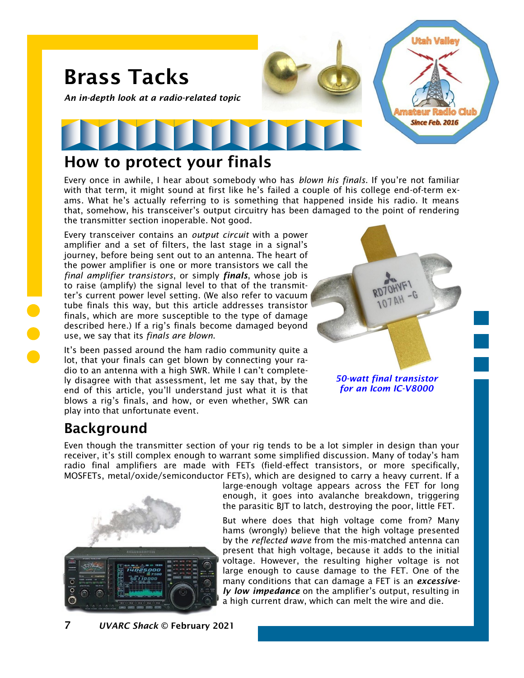

#### How to protect your finals

Every once in awhile, I hear about somebody who has *blown his finals*. If you're not familiar with that term, it might sound at first like he's failed a couple of his college end-of-term exams. What he's actually referring to is something that happened inside his radio. It means that, somehow, his transceiver's output circuitry has been damaged to the point of rendering the transmitter section inoperable. Not good.

Every transceiver contains an *output circuit* with a power amplifier and a set of filters, the last stage in a signal's journey, before being sent out to an antenna. The heart of the power amplifier is one or more transistors we call the *final amplifier transistors*, or simply *finals*, whose job is to raise (amplify) the signal level to that of the transmitter's current power level setting. (We also refer to vacuum tube finals this way, but this article addresses transistor finals, which are more susceptible to the type of damage described here.) If a rig's finals become damaged beyond use, we say that its *finals are blown*.

It's been passed around the ham radio community quite a lot, that your finals can get blown by connecting your radio to an antenna with a high SWR. While I can't completely disagree with that assessment, let me say that, by the end of this article, you'll understand just what it is that blows a rig's finals, and how, or even whether, SWR can play into that unfortunate event.



*for an Icom IC-V8000*

## Background

Even though the transmitter section of your rig tends to be a lot simpler in design than your receiver, it's still complex enough to warrant some simplified discussion. Many of today's ham radio final amplifiers are made with FETs (field-effect transistors, or more specifically, MOSFETs, metal/oxide/semiconductor FETs), which are designed to carry a heavy current. If a



large-enough voltage appears across the FET for long enough, it goes into avalanche breakdown, triggering the parasitic BJT to latch, destroying the poor, little FET.

But where does that high voltage come from? Many hams (wrongly) believe that the high voltage presented by the *reflected wave* from the mis-matched antenna can present that high voltage, because it adds to the initial voltage. However, the resulting higher voltage is not large enough to cause damage to the FET. One of the many conditions that can damage a FET is an *excessively low impedance* on the amplifier's output, resulting in a high current draw, which can melt the wire and die.

7 *UVARC Shack* © February 2021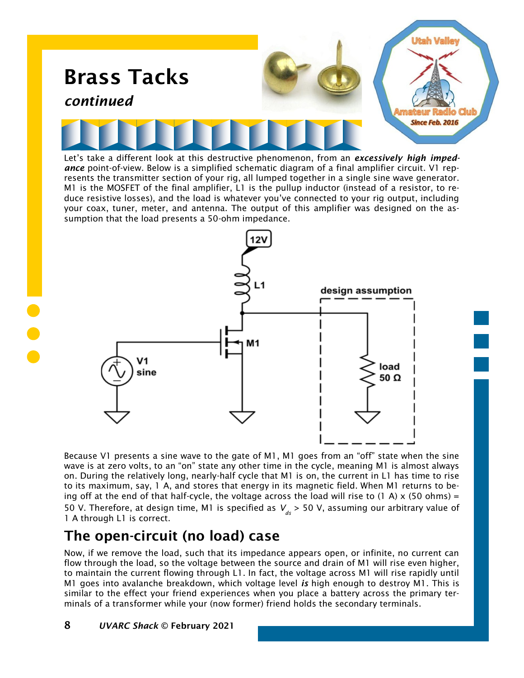

Let's take a different look at this destructive phenomenon, from an *excessively high impedance* point-of-view. Below is a simplified schematic diagram of a final amplifier circuit. V1 represents the transmitter section of your rig, all lumped together in a single sine wave generator. M1 is the MOSFET of the final amplifier, L1 is the pullup inductor (instead of a resistor, to reduce resistive losses), and the load is whatever you've connected to your rig output, including your coax, tuner, meter, and antenna. The output of this amplifier was designed on the assumption that the load presents a 50-ohm impedance.



Because V1 presents a sine wave to the gate of M1, M1 goes from an "off" state when the sine wave is at zero volts, to an "on" state any other time in the cycle, meaning M1 is almost always on. During the relatively long, nearly-half cycle that M1 is on, the current in L1 has time to rise to its maximum, say, 1 A, and stores that energy in its magnetic field. When M1 returns to being off at the end of that half-cycle, the voltage across the load will rise to (1 A)  $\times$  (50 ohms) = 50 V. Therefore, at design time, M1 is specified as  $V_{ds}$  > 50 V, assuming our arbitrary value of 1 A through L1 is correct.

### The open-circuit (no load) case

Now, if we remove the load, such that its impedance appears open, or infinite, no current can flow through the load, so the voltage between the source and drain of M1 will rise even higher, to maintain the current flowing through L1. In fact, the voltage across M1 will rise rapidly until M1 goes into avalanche breakdown, which voltage level *is* high enough to destroy M1. This is similar to the effect your friend experiences when you place a battery across the primary terminals of a transformer while your (now former) friend holds the secondary terminals.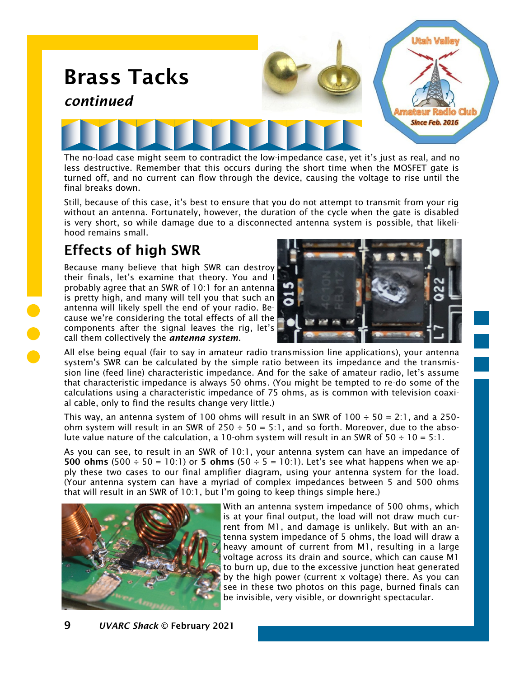

The no-load case might seem to contradict the low-impedance case, yet it's just as real, and no less destructive. Remember that this occurs during the short time when the MOSFET gate is turned off, and no current can flow through the device, causing the voltage to rise until the final breaks down.

Still, because of this case, it's best to ensure that you do not attempt to transmit from your rig without an antenna. Fortunately, however, the duration of the cycle when the gate is disabled is very short, so while damage due to a disconnected antenna system is possible, that likelihood remains small.

## Effects of high SWR

Because many believe that high SWR can destroy their finals, let's examine that theory. You and I probably agree that an SWR of 10:1 for an antenna is pretty high, and many will tell you that such an antenna will likely spell the end of your radio. Because we're considering the total effects of all the components after the signal leaves the rig, let's call them collectively the *antenna system*.



All else being equal (fair to say in amateur radio transmission line applications), your antenna system's SWR can be calculated by the simple ratio between its impedance and the transmission line (feed line) characteristic impedance. And for the sake of amateur radio, let's assume that characteristic impedance is always 50 ohms. (You might be tempted to re-do some of the calculations using a characteristic impedance of 75 ohms, as is common with television coaxial cable, only to find the results change very little.)

This way, an antenna system of 100 ohms will result in an SWR of 100  $\div$  50 = 2:1, and a 250ohm system will result in an SWR of  $250 \div 50 = 5.1$ , and so forth. Moreover, due to the absolute value nature of the calculation, a 10-ohm system will result in an SWR of  $50 \div 10 = 5:1$ .

As you can see, to result in an SWR of 10:1, your antenna system can have an impedance of 500 ohms (500  $\div$  50 = 10:1) or 5 ohms (50  $\div$  5 = 10:1). Let's see what happens when we apply these two cases to our final amplifier diagram, using your antenna system for the load. (Your antenna system can have a myriad of complex impedances between 5 and 500 ohms that will result in an SWR of 10:1, but I'm going to keep things simple here.)



With an antenna system impedance of 500 ohms, which is at your final output, the load will not draw much current from M1, and damage is unlikely. But with an antenna system impedance of 5 ohms, the load will draw a heavy amount of current from M1, resulting in a large voltage across its drain and source, which can cause M1 to burn up, due to the excessive junction heat generated by the high power (current x voltage) there. As you can see in these two photos on this page, burned finals can be invisible, very visible, or downright spectacular.